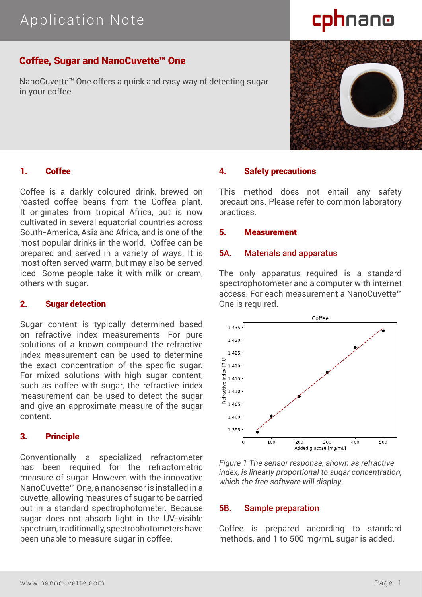# Application Note

# cphnano

## Coffee, Sugar and NanoCuvette™ One

NanoCuvette™ One offers a quick and easy way of detecting sugar in your coffee.

### 1. Coffee

Coffee is a darkly coloured drink, brewed on roasted coffee beans from the Coffea plant. It originates from tropical Africa, but is now cultivated in several equatorial countries across South-America, Asia and Africa, and is one of the most popular drinks in the world. Coffee can be prepared and served in a variety of ways. It is most often served warm, but may also be served iced. Some people take it with milk or cream, others with sugar.

#### 2. Sugar detection

Sugar content is typically determined based on refractive index measurements. For pure solutions of a known compound the refractive index measurement can be used to determine the exact concentration of the specific sugar. For mixed solutions with high sugar content, such as coffee with sugar, the refractive index measurement can be used to detect the sugar and give an approximate measure of the sugar content.

#### 3. Principle

Conventionally a specialized refractometer has been required for the refractometric measure of sugar. However, with the innovative NanoCuvette™ One, a nanosensor is installed in a cuvette, allowing measures of sugar to be carried out in a standard spectrophotometer. Because sugar does not absorb light in the UV-visible spectrum, traditionally, spectrophotometers have been unable to measure sugar in coffee.

#### 4. Safety precautions

This method does not entail any safety precautions. Please refer to common laboratory practices.

#### 5. Measurement

#### 5A. Materials and apparatus

The only apparatus required is a standard spectrophotometer and a computer with internet access. For each measurement a NanoCuvette™ One is required.



*Figure 1 The sensor response, shown as refractive index, is linearly proportional to sugar concentration, which the free software will display.*

#### 5B. Sample preparation

Coffee is prepared according to standard methods, and 1 to 500 mg/mL sugar is added.